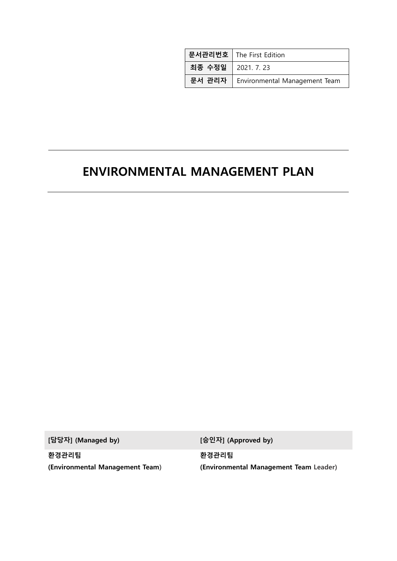|                    | 문서관리번호   The First Edition    |
|--------------------|-------------------------------|
| 최종 수정일   2021.7.23 |                               |
| 문서 관리자             | Environmental Management Team |

# ENVIRONMENTAL MANAGEMENT PLAN

[담당자] (Managed by) [승인자] (Approved by)

환경관리팀 (Environmental Management Team)

환경관리팀 (Environmental Management Team Leader)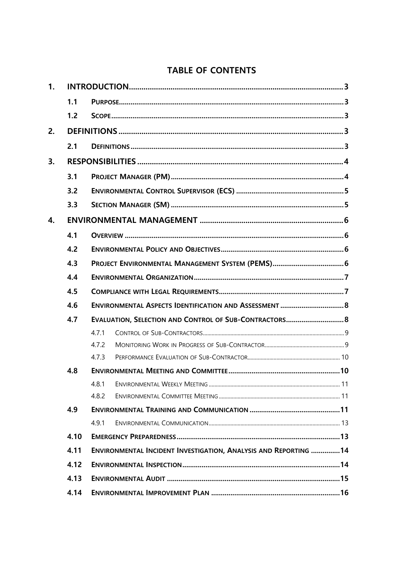# **TABLE OF CONTENTS**

| 1. |      |                                                                 |  |  |  |
|----|------|-----------------------------------------------------------------|--|--|--|
|    | 1.1  |                                                                 |  |  |  |
|    | 1.2  |                                                                 |  |  |  |
| 2. |      |                                                                 |  |  |  |
|    | 2.1  |                                                                 |  |  |  |
| 3. |      |                                                                 |  |  |  |
|    | 3.1  |                                                                 |  |  |  |
|    | 3.2  |                                                                 |  |  |  |
|    | 3.3  |                                                                 |  |  |  |
| 4. |      |                                                                 |  |  |  |
|    | 4.1  |                                                                 |  |  |  |
|    | 4.2  |                                                                 |  |  |  |
|    | 4.3  |                                                                 |  |  |  |
|    | 4.4  |                                                                 |  |  |  |
|    | 4.5  |                                                                 |  |  |  |
|    | 4.6  |                                                                 |  |  |  |
|    | 4.7  | EVALUATION, SELECTION AND CONTROL OF SUB-CONTRACTORS 8          |  |  |  |
|    |      | 4.7.1                                                           |  |  |  |
|    |      | 4.7.2                                                           |  |  |  |
|    |      | 4.7.3                                                           |  |  |  |
|    | 4.8  |                                                                 |  |  |  |
|    |      | 4.8.1                                                           |  |  |  |
|    |      | 4.8.2                                                           |  |  |  |
|    | 4.9  |                                                                 |  |  |  |
|    |      | 4.9.1                                                           |  |  |  |
|    | 4.10 |                                                                 |  |  |  |
|    | 4.11 | ENVIRONMENTAL INCIDENT INVESTIGATION, ANALYSIS AND REPORTING 14 |  |  |  |
|    | 4.12 |                                                                 |  |  |  |
|    | 4.13 |                                                                 |  |  |  |
|    | 4.14 |                                                                 |  |  |  |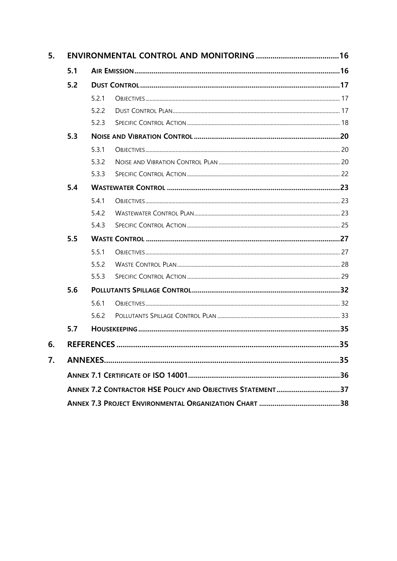| 5. |                                                            |       |  |    |
|----|------------------------------------------------------------|-------|--|----|
|    | 5.1                                                        |       |  |    |
|    | 5.2                                                        |       |  |    |
|    |                                                            | 5.2.1 |  |    |
|    |                                                            | 5.2.2 |  |    |
|    |                                                            | 5.2.3 |  |    |
|    | 5.3                                                        |       |  |    |
|    |                                                            | 5.3.1 |  |    |
|    |                                                            | 5.3.2 |  |    |
|    |                                                            | 5.3.3 |  |    |
|    | 5.4                                                        |       |  |    |
|    |                                                            | 5.4.1 |  |    |
|    |                                                            | 5.4.2 |  |    |
|    |                                                            | 5.4.3 |  |    |
|    | 5.5                                                        |       |  |    |
|    |                                                            | 5.5.1 |  |    |
|    |                                                            | 5.5.2 |  |    |
|    |                                                            | 5.5.3 |  |    |
|    | 5.6                                                        |       |  |    |
|    |                                                            | 5.6.1 |  |    |
|    |                                                            | 5.6.2 |  |    |
|    | 5.7                                                        |       |  |    |
| 6. |                                                            |       |  | 35 |
| 7. |                                                            |       |  | 35 |
|    |                                                            |       |  |    |
|    | ANNEX 7.2 CONTRACTOR HSE POLICY AND OBJECTIVES STATEMENT37 |       |  |    |
|    |                                                            |       |  |    |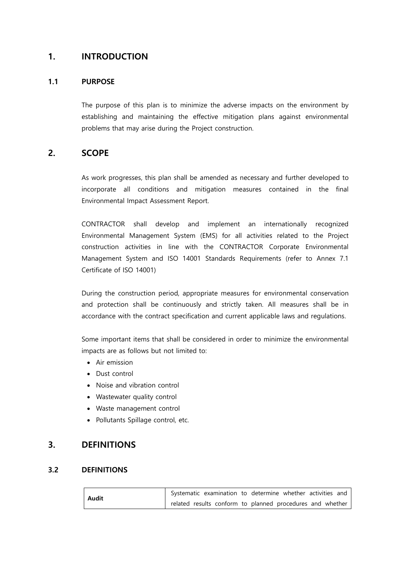# <span id="page-3-0"></span>1. INTRODUCTION

# <span id="page-3-1"></span>1.1 PURPOSE

The purpose of this plan is to minimize the adverse impacts on the environment by establishing and maintaining the effective mitigation plans against environmental problems that may arise during the Project construction.

# <span id="page-3-2"></span>2. SCOPE

As work progresses, this plan shall be amended as necessary and further developed to incorporate all conditions and mitigation measures contained in the final Environmental Impact Assessment Report.

CONTRACTOR shall develop and implement an internationally recognized Environmental Management System (EMS) for all activities related to the Project construction activities in line with the CONTRACTOR Corporate Environmental Management System and ISO 14001 Standards Requirements (refer to Annex 7.1 Certificate of ISO 14001)

During the construction period, appropriate measures for environmental conservation and protection shall be continuously and strictly taken. All measures shall be in accordance with the contract specification and current applicable laws and regulations.

Some important items that shall be considered in order to minimize the environmental impacts are as follows but not limited to:

- Air emission
- Dust control
- Noise and vibration control
- Wastewater quality control
- Waste management control
- Pollutants Spillage control, etc.

# <span id="page-3-3"></span>3. DEFINITIONS

# <span id="page-3-4"></span>3.2 DEFINITIONS

| Audit |  | Systematic examination to determine whether activities and |  |
|-------|--|------------------------------------------------------------|--|
|       |  | related results conform to planned procedures and whether  |  |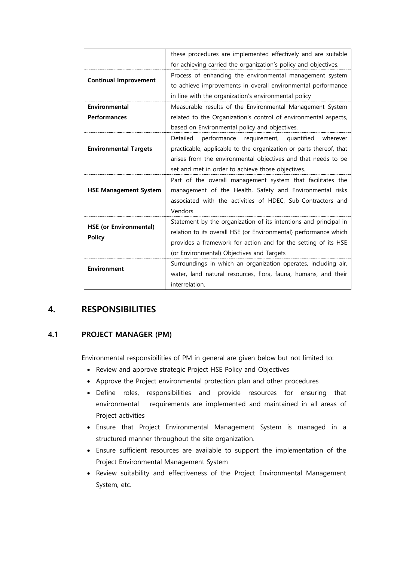|                               | these procedures are implemented effectively and are suitable      |
|-------------------------------|--------------------------------------------------------------------|
|                               | for achieving carried the organization's policy and objectives.    |
| <b>Continual Improvement</b>  | Process of enhancing the environmental management system           |
|                               | to achieve improvements in overall environmental performance       |
|                               | in line with the organization's environmental policy               |
| Environmental                 | Measurable results of the Environmental Management System          |
| <b>Performances</b>           | related to the Organization's control of environmental aspects,    |
|                               | based on Environmental policy and objectives.                      |
|                               | performance requirement, quantified<br>Detailed<br>wherever        |
| <b>Environmental Targets</b>  | practicable, applicable to the organization or parts thereof, that |
|                               | arises from the environmental objectives and that needs to be      |
|                               | set and met in order to achieve those objectives.                  |
|                               | Part of the overall management system that facilitates the         |
| <b>HSE Management System</b>  | management of the Health, Safety and Environmental risks           |
|                               | associated with the activities of HDEC, Sub-Contractors and        |
|                               | Vendors.                                                           |
| <b>HSE (or Environmental)</b> | Statement by the organization of its intentions and principal in   |
|                               | relation to its overall HSE (or Environmental) performance which   |
| <b>Policy</b>                 | provides a framework for action and for the setting of its HSE     |
|                               | (or Environmental) Objectives and Targets                          |
| <b>Environment</b>            | Surroundings in which an organization operates, including air,     |
|                               | water, land natural resources, flora, fauna, humans, and their     |
|                               | interrelation.                                                     |
|                               |                                                                    |

# <span id="page-4-0"></span>4. RESPONSIBILITIES

# <span id="page-4-1"></span>4.1 PROJECT MANAGER (PM)

Environmental responsibilities of PM in general are given below but not limited to:

- Review and approve strategic Project HSE Policy and Objectives
- Approve the Project environmental protection plan and other procedures
- Define roles, responsibilities and provide resources for ensuring that environmental requirements are implemented and maintained in all areas of Project activities
- Ensure that Project Environmental Management System is managed in a structured manner throughout the site organization.
- Ensure sufficient resources are available to support the implementation of the Project Environmental Management System
- Review suitability and effectiveness of the Project Environmental Management System, etc.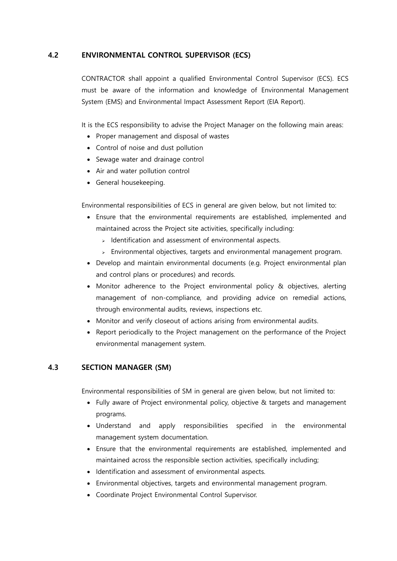### <span id="page-5-0"></span>4.2 ENVIRONMENTAL CONTROL SUPERVISOR (ECS)

CONTRACTOR shall appoint a qualified Environmental Control Supervisor (ECS). ECS must be aware of the information and knowledge of Environmental Management System (EMS) and Environmental Impact Assessment Report (EIA Report).

It is the ECS responsibility to advise the Project Manager on the following main areas:

- Proper management and disposal of wastes
- Control of noise and dust pollution
- Sewage water and drainage control
- Air and water pollution control
- General housekeeping.

Environmental responsibilities of ECS in general are given below, but not limited to:

- Ensure that the environmental requirements are established, implemented and maintained across the Project site activities, specifically including:
	- $\triangleright$  Identification and assessment of environmental aspects.
	- $\triangleright$  Environmental objectives, targets and environmental management program.
- Develop and maintain environmental documents (e.g. Project environmental plan and control plans or procedures) and records.
- Monitor adherence to the Project environmental policy & objectives, alerting management of non-compliance, and providing advice on remedial actions, through environmental audits, reviews, inspections etc.
- Monitor and verify closeout of actions arising from environmental audits.
- Report periodically to the Project management on the performance of the Project environmental management system.

# <span id="page-5-1"></span>4.3 SECTION MANAGER (SM)

Environmental responsibilities of SM in general are given below, but not limited to:

- Fully aware of Project environmental policy, objective & targets and management programs.
- Understand and apply responsibilities specified in the environmental management system documentation.
- Ensure that the environmental requirements are established, implemented and maintained across the responsible section activities, specifically including;
- Identification and assessment of environmental aspects.
- Environmental objectives, targets and environmental management program.
- Coordinate Project Environmental Control Supervisor.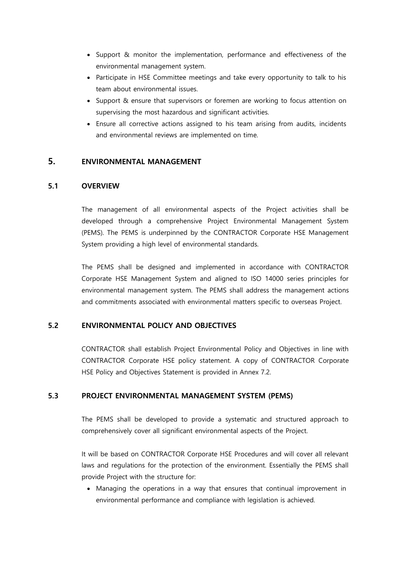- Support & monitor the implementation, performance and effectiveness of the environmental management system.
- Participate in HSE Committee meetings and take every opportunity to talk to his team about environmental issues.
- Support & ensure that supervisors or foremen are working to focus attention on supervising the most hazardous and significant activities.
- Ensure all corrective actions assigned to his team arising from audits, incidents and environmental reviews are implemented on time.

# <span id="page-6-0"></span>5. ENVIRONMENTAL MANAGEMENT

### <span id="page-6-1"></span>5.1 OVERVIEW

The management of all environmental aspects of the Project activities shall be developed through a comprehensive Project Environmental Management System (PEMS). The PEMS is underpinned by the CONTRACTOR Corporate HSE Management System providing a high level of environmental standards.

The PEMS shall be designed and implemented in accordance with CONTRACTOR Corporate HSE Management System and aligned to ISO 14000 series principles for environmental management system. The PEMS shall address the management actions and commitments associated with environmental matters specific to overseas Project.

### <span id="page-6-2"></span>5.2 ENVIRONMENTAL POLICY AND OBJECTIVES

CONTRACTOR shall establish Project Environmental Policy and Objectives in line with CONTRACTOR Corporate HSE policy statement. A copy of CONTRACTOR Corporate HSE Policy and Objectives Statement is provided in Annex 7.2.

### <span id="page-6-3"></span>5.3 PROJECT ENVIRONMENTAL MANAGEMENT SYSTEM (PEMS)

The PEMS shall be developed to provide a systematic and structured approach to comprehensively cover all significant environmental aspects of the Project.

It will be based on CONTRACTOR Corporate HSE Procedures and will cover all relevant laws and regulations for the protection of the environment. Essentially the PEMS shall provide Project with the structure for:

 Managing the operations in a way that ensures that continual improvement in environmental performance and compliance with legislation is achieved.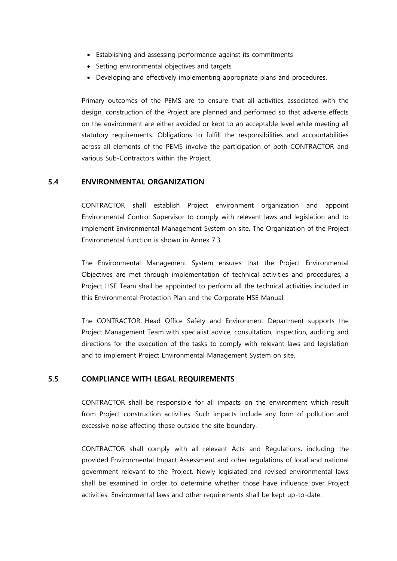- Establishing and assessing performance against its commitments
- Setting environmental objectives and targets
- Developing and effectively implementing appropriate plans and procedures.

Primary outcomes of the PEMS are to ensure that all activities associated with the design, construction of the Project are planned and performed so that adverse effects on the environment are either avoided or kept to an acceptable level while meeting all statutory requirements. Obligations to fulfill the responsibilities and accountabilities across all elements of the PEMS involve the participation of both CONTRACTOR and various Sub-Contractors within the Project.

#### <span id="page-7-0"></span>5.4 ENVIRONMENTAL ORGANIZATION

CONTRACTOR shall establish Project environment organization and appoint Environmental Control Supervisor to comply with relevant laws and legislation and to implement Environmental Management System on site. The Organization of the Project Environmental function is shown in Annex 7.3.

The Environmental Management System ensures that the Project Environmental Objectives are met through implementation of technical activities and procedures, a Project HSE Team shall be appointed to perform all the technical activities included in this Environmental Protection Plan and the Corporate HSE Manual.

The CONTRACTOR Head Office Safety and Environment Department supports the Project Management Team with specialist advice, consultation, inspection, auditing and directions for the execution of the tasks to comply with relevant laws and legislation and to implement Project Environmental Management System on site.

#### <span id="page-7-1"></span>5.5 COMPLIANCE WITH LEGAL REQUIREMENTS

CONTRACTOR shall be responsible for all impacts on the environment which result from Project construction activities. Such impacts include any form of pollution and excessive noise affecting those outside the site boundary.

CONTRACTOR shall comply with all relevant Acts and Regulations, including the provided Environmental Impact Assessment and other regulations of local and national government relevant to the Project. Newly legislated and revised environmental laws shall be examined in order to determine whether those have influence over Project activities. Environmental laws and other requirements shall be kept up-to-date.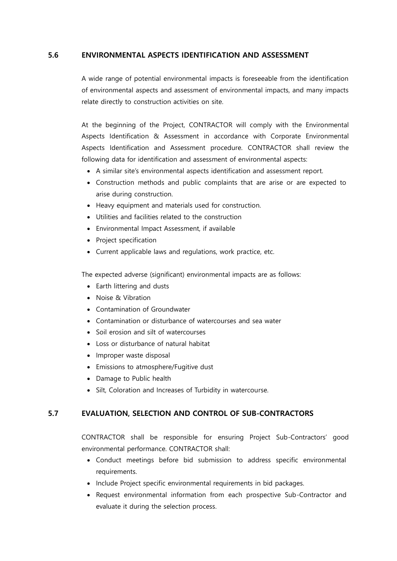#### <span id="page-8-0"></span>5.6 ENVIRONMENTAL ASPECTS IDENTIFICATION AND ASSESSMENT

A wide range of potential environmental impacts is foreseeable from the identification of environmental aspects and assessment of environmental impacts, and many impacts relate directly to construction activities on site.

At the beginning of the Project, CONTRACTOR will comply with the Environmental Aspects Identification & Assessment in accordance with Corporate Environmental Aspects Identification and Assessment procedure. CONTRACTOR shall review the following data for identification and assessment of environmental aspects:

- A similar site's environmental aspects identification and assessment report.
- Construction methods and public complaints that are arise or are expected to arise during construction.
- Heavy equipment and materials used for construction.
- Utilities and facilities related to the construction
- Environmental Impact Assessment, if available
- Project specification
- Current applicable laws and regulations, work practice, etc.

The expected adverse (significant) environmental impacts are as follows:

- Earth littering and dusts
- Noise & Vibration
- Contamination of Groundwater
- Contamination or disturbance of watercourses and sea water
- Soil erosion and silt of watercourses
- Loss or disturbance of natural habitat
- Improper waste disposal
- Emissions to atmosphere/Fugitive dust
- Damage to Public health
- Silt, Coloration and Increases of Turbidity in watercourse.

### <span id="page-8-1"></span>5.7 EVALUATION, SELECTION AND CONTROL OF SUB-CONTRACTORS

CONTRACTOR shall be responsible for ensuring Project Sub-Contractors' good environmental performance. CONTRACTOR shall:

- Conduct meetings before bid submission to address specific environmental requirements.
- Include Project specific environmental requirements in bid packages.
- Request environmental information from each prospective Sub-Contractor and evaluate it during the selection process.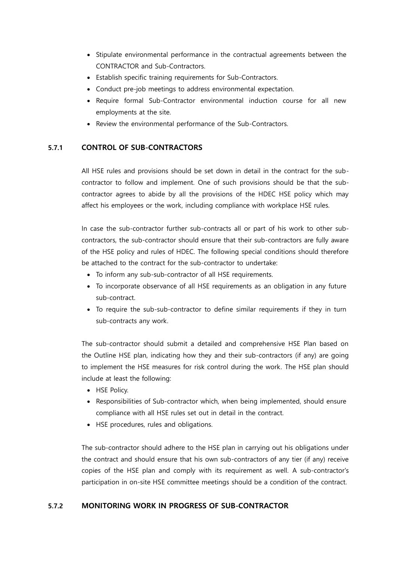- Stipulate environmental performance in the contractual agreements between the CONTRACTOR and Sub-Contractors.
- Establish specific training requirements for Sub-Contractors.
- Conduct pre-job meetings to address environmental expectation.
- Require formal Sub-Contractor environmental induction course for all new employments at the site.
- Review the environmental performance of the Sub-Contractors.

# <span id="page-9-0"></span>5.7.1 CONTROL OF SUB-CONTRACTORS

All HSE rules and provisions should be set down in detail in the contract for the subcontractor to follow and implement. One of such provisions should be that the subcontractor agrees to abide by all the provisions of the HDEC HSE policy which may affect his employees or the work, including compliance with workplace HSE rules.

In case the sub-contractor further sub-contracts all or part of his work to other subcontractors, the sub-contractor should ensure that their sub-contractors are fully aware of the HSE policy and rules of HDEC. The following special conditions should therefore be attached to the contract for the sub-contractor to undertake:

- To inform any sub-sub-contractor of all HSE requirements.
- To incorporate observance of all HSE requirements as an obligation in any future sub-contract.
- To require the sub-sub-contractor to define similar requirements if they in turn sub-contracts any work.

The sub-contractor should submit a detailed and comprehensive HSE Plan based on the Outline HSE plan, indicating how they and their sub-contractors (if any) are going to implement the HSE measures for risk control during the work. The HSE plan should include at least the following:

- HSE Policy.
- Responsibilities of Sub-contractor which, when being implemented, should ensure compliance with all HSE rules set out in detail in the contract.
- HSE procedures, rules and obligations.

The sub-contractor should adhere to the HSE plan in carrying out his obligations under the contract and should ensure that his own sub-contractors of any tier (if any) receive copies of the HSE plan and comply with its requirement as well. A sub-contractor's participation in on-site HSE committee meetings should be a condition of the contract.

### <span id="page-9-1"></span>5.7.2 MONITORING WORK IN PROGRESS OF SUB-CONTRACTOR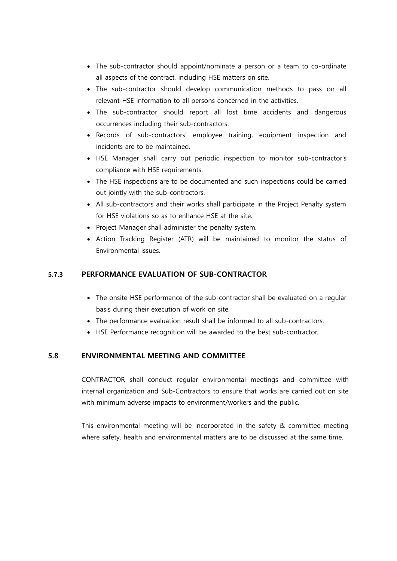- The sub-contractor should appoint/nominate a person or a team to co-ordinate all aspects of the contract, including HSE matters on site.
- The sub-contractor should develop communication methods to pass on all relevant HSE information to all persons concerned in the activities.
- The sub-contractor should report all lost time accidents and dangerous occurrences including their sub-contractors.
- Records of sub-contractors' employee training, equipment inspection and incidents are to be maintained.
- HSE Manager shall carry out periodic inspection to monitor sub-contractor's compliance with HSE requirements.
- The HSE inspections are to be documented and such inspections could be carried out jointly with the sub-contractors.
- All sub-contractors and their works shall participate in the Project Penalty system for HSE violations so as to enhance HSE at the site.
- Project Manager shall administer the penalty system.
- Action Tracking Register (ATR) will be maintained to monitor the status of Environmental issues.

# <span id="page-10-0"></span>5.7.3 PERFORMANCE EVALUATION OF SUB-CONTRACTOR

- The onsite HSE performance of the sub-contractor shall be evaluated on a regular basis during their execution of work on site.
- The performance evaluation result shall be informed to all sub-contractors.
- HSE Performance recognition will be awarded to the best sub-contractor.

# <span id="page-10-1"></span>5.8 ENVIRONMENTAL MEETING AND COMMITTEE

CONTRACTOR shall conduct regular environmental meetings and committee with internal organization and Sub-Contractors to ensure that works are carried out on site with minimum adverse impacts to environment/workers and the public.

This environmental meeting will be incorporated in the safety & committee meeting where safety, health and environmental matters are to be discussed at the same time.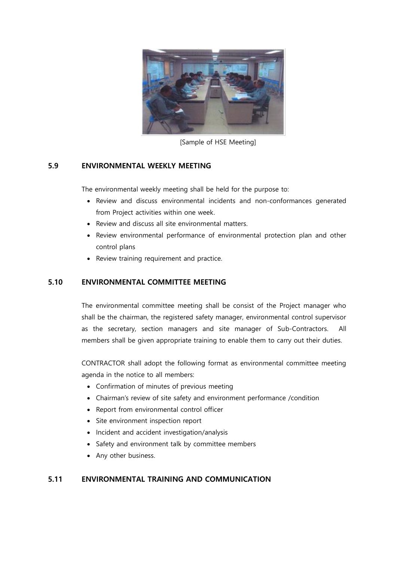

[Sample of HSE Meeting]

# <span id="page-11-0"></span>5.9 ENVIRONMENTAL WEEKLY MEETING

The environmental weekly meeting shall be held for the purpose to:

- Review and discuss environmental incidents and non-conformances generated from Project activities within one week.
- Review and discuss all site environmental matters.
- Review environmental performance of environmental protection plan and other control plans
- Review training requirement and practice.

# <span id="page-11-1"></span>5.10 ENVIRONMENTAL COMMITTEE MEETING

The environmental committee meeting shall be consist of the Project manager who shall be the chairman, the registered safety manager, environmental control supervisor as the secretary, section managers and site manager of Sub-Contractors. All members shall be given appropriate training to enable them to carry out their duties.

CONTRACTOR shall adopt the following format as environmental committee meeting agenda in the notice to all members:

- Confirmation of minutes of previous meeting
- Chairman's review of site safety and environment performance /condition
- Report from environmental control officer
- Site environment inspection report
- Incident and accident investigation/analysis
- Safety and environment talk by committee members
- Any other business.

# <span id="page-11-2"></span>5.11 ENVIRONMENTAL TRAINING AND COMMUNICATION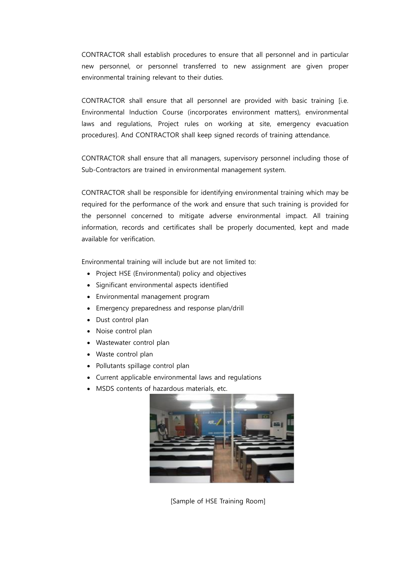CONTRACTOR shall establish procedures to ensure that all personnel and in particular new personnel, or personnel transferred to new assignment are given proper environmental training relevant to their duties.

CONTRACTOR shall ensure that all personnel are provided with basic training [i.e. Environmental Induction Course (incorporates environment matters), environmental laws and regulations, Project rules on working at site, emergency evacuation procedures]. And CONTRACTOR shall keep signed records of training attendance.

CONTRACTOR shall ensure that all managers, supervisory personnel including those of Sub-Contractors are trained in environmental management system.

CONTRACTOR shall be responsible for identifying environmental training which may be required for the performance of the work and ensure that such training is provided for the personnel concerned to mitigate adverse environmental impact. All training information, records and certificates shall be properly documented, kept and made available for verification.

Environmental training will include but are not limited to:

- Project HSE (Environmental) policy and objectives
- Significant environmental aspects identified
- Environmental management program
- Emergency preparedness and response plan/drill
- Dust control plan
- Noise control plan
- Wastewater control plan
- Waste control plan
- Pollutants spillage control plan
- Current applicable environmental laws and regulations
- MSDS contents of hazardous materials, etc.



[Sample of HSE Training Room]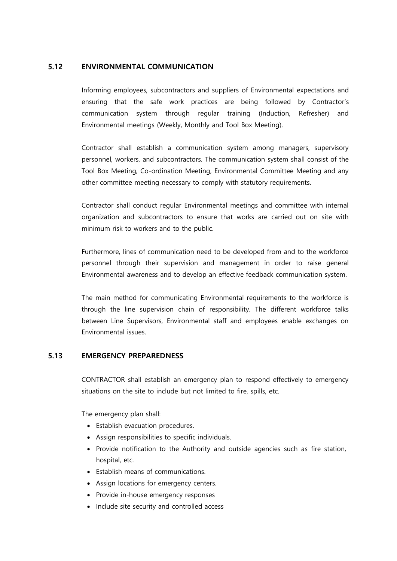# <span id="page-13-0"></span>5.12 ENVIRONMENTAL COMMUNICATION

Informing employees, subcontractors and suppliers of Environmental expectations and ensuring that the safe work practices are being followed by Contractor's communication system through regular training (Induction, Refresher) and Environmental meetings (Weekly, Monthly and Tool Box Meeting).

Contractor shall establish a communication system among managers, supervisory personnel, workers, and subcontractors. The communication system shall consist of the Tool Box Meeting, Co-ordination Meeting, Environmental Committee Meeting and any other committee meeting necessary to comply with statutory requirements.

Contractor shall conduct regular Environmental meetings and committee with internal organization and subcontractors to ensure that works are carried out on site with minimum risk to workers and to the public.

Furthermore, lines of communication need to be developed from and to the workforce personnel through their supervision and management in order to raise general Environmental awareness and to develop an effective feedback communication system.

The main method for communicating Environmental requirements to the workforce is through the line supervision chain of responsibility. The different workforce talks between Line Supervisors, Environmental staff and employees enable exchanges on Environmental issues.

### <span id="page-13-1"></span>5.13 EMERGENCY PREPAREDNESS

CONTRACTOR shall establish an emergency plan to respond effectively to emergency situations on the site to include but not limited to fire, spills, etc.

The emergency plan shall:

- Establish evacuation procedures.
- Assign responsibilities to specific individuals.
- Provide notification to the Authority and outside agencies such as fire station, hospital, etc.
- Establish means of communications.
- Assign locations for emergency centers.
- Provide in-house emergency responses
- Include site security and controlled access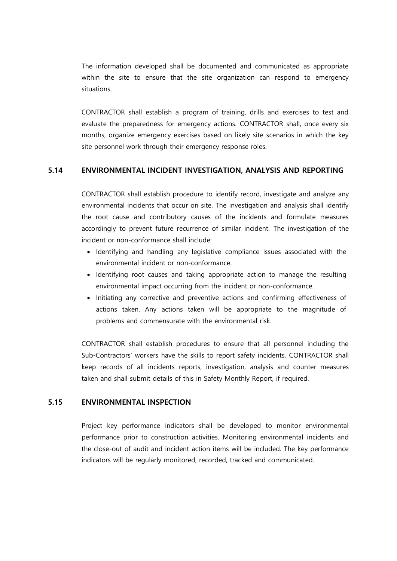The information developed shall be documented and communicated as appropriate within the site to ensure that the site organization can respond to emergency situations.

CONTRACTOR shall establish a program of training, drills and exercises to test and evaluate the preparedness for emergency actions. CONTRACTOR shall, once every six months, organize emergency exercises based on likely site scenarios in which the key site personnel work through their emergency response roles.

#### <span id="page-14-0"></span>5.14 ENVIRONMENTAL INCIDENT INVESTIGATION, ANALYSIS AND REPORTING

CONTRACTOR shall establish procedure to identify record, investigate and analyze any environmental incidents that occur on site. The investigation and analysis shall identify the root cause and contributory causes of the incidents and formulate measures accordingly to prevent future recurrence of similar incident. The investigation of the incident or non-conformance shall include:

- Identifying and handling any legislative compliance issues associated with the environmental incident or non-conformance.
- Identifying root causes and taking appropriate action to manage the resulting environmental impact occurring from the incident or non-conformance.
- Initiating any corrective and preventive actions and confirming effectiveness of actions taken. Any actions taken will be appropriate to the magnitude of problems and commensurate with the environmental risk.

CONTRACTOR shall establish procedures to ensure that all personnel including the Sub-Contractors' workers have the skills to report safety incidents. CONTRACTOR shall keep records of all incidents reports, investigation, analysis and counter measures taken and shall submit details of this in Safety Monthly Report, if required.

#### <span id="page-14-1"></span>5.15 ENVIRONMENTAL INSPECTION

Project key performance indicators shall be developed to monitor environmental performance prior to construction activities. Monitoring environmental incidents and the close-out of audit and incident action items will be included. The key performance indicators will be regularly monitored, recorded, tracked and communicated.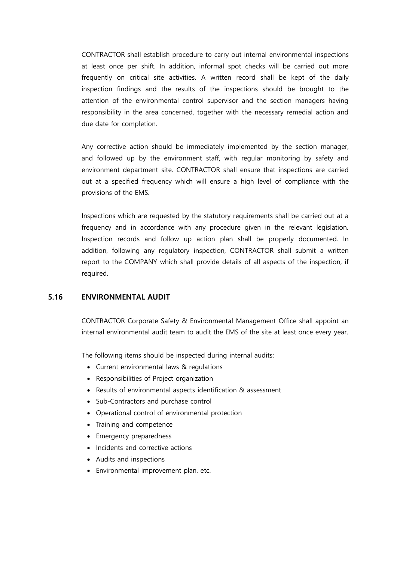CONTRACTOR shall establish procedure to carry out internal environmental inspections at least once per shift. In addition, informal spot checks will be carried out more frequently on critical site activities. A written record shall be kept of the daily inspection findings and the results of the inspections should be brought to the attention of the environmental control supervisor and the section managers having responsibility in the area concerned, together with the necessary remedial action and due date for completion.

Any corrective action should be immediately implemented by the section manager, and followed up by the environment staff, with regular monitoring by safety and environment department site. CONTRACTOR shall ensure that inspections are carried out at a specified frequency which will ensure a high level of compliance with the provisions of the EMS.

Inspections which are requested by the statutory requirements shall be carried out at a frequency and in accordance with any procedure given in the relevant legislation. Inspection records and follow up action plan shall be properly documented. In addition, following any regulatory inspection, CONTRACTOR shall submit a written report to the COMPANY which shall provide details of all aspects of the inspection, if required.

### <span id="page-15-0"></span>5.16 ENVIRONMENTAL AUDIT

CONTRACTOR Corporate Safety & Environmental Management Office shall appoint an internal environmental audit team to audit the EMS of the site at least once every year.

The following items should be inspected during internal audits:

- Current environmental laws & regulations
- Responsibilities of Project organization
- Results of environmental aspects identification & assessment
- Sub-Contractors and purchase control
- Operational control of environmental protection
- Training and competence
- Emergency preparedness
- Incidents and corrective actions
- Audits and inspections
- Environmental improvement plan, etc.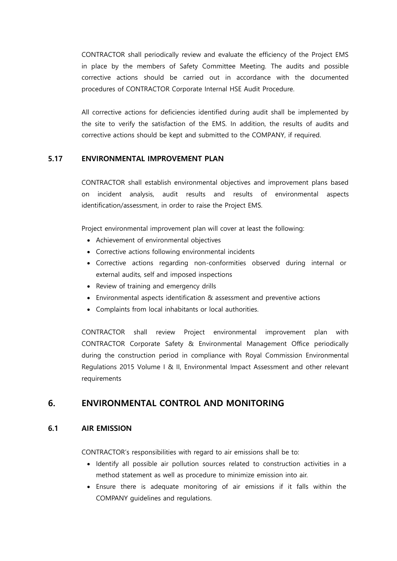CONTRACTOR shall periodically review and evaluate the efficiency of the Project EMS in place by the members of Safety Committee Meeting. The audits and possible corrective actions should be carried out in accordance with the documented procedures of CONTRACTOR Corporate Internal HSE Audit Procedure.

All corrective actions for deficiencies identified during audit shall be implemented by the site to verify the satisfaction of the EMS. In addition, the results of audits and corrective actions should be kept and submitted to the COMPANY, if required.

# <span id="page-16-0"></span>5.17 ENVIRONMENTAL IMPROVEMENT PLAN

CONTRACTOR shall establish environmental objectives and improvement plans based on incident analysis, audit results and results of environmental aspects identification/assessment, in order to raise the Project EMS.

Project environmental improvement plan will cover at least the following:

- Achievement of environmental objectives
- Corrective actions following environmental incidents
- Corrective actions regarding non-conformities observed during internal or external audits, self and imposed inspections
- Review of training and emergency drills
- Environmental aspects identification & assessment and preventive actions
- Complaints from local inhabitants or local authorities.

CONTRACTOR shall review Project environmental improvement plan with CONTRACTOR Corporate Safety & Environmental Management Office periodically during the construction period in compliance with Royal Commission Environmental Regulations 2015 Volume I & II, Environmental Impact Assessment and other relevant requirements

# <span id="page-16-1"></span>6. ENVIRONMENTAL CONTROL AND MONITORING

### <span id="page-16-2"></span>6.1 AIR EMISSION

CONTRACTOR's responsibilities with regard to air emissions shall be to:

- Identify all possible air pollution sources related to construction activities in a method statement as well as procedure to minimize emission into air.
- Ensure there is adequate monitoring of air emissions if it falls within the COMPANY guidelines and regulations.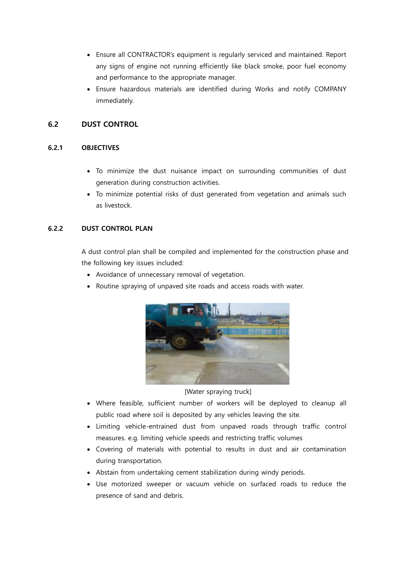- Ensure all CONTRACTOR's equipment is regularly serviced and maintained. Report any signs of engine not running efficiently like black smoke, poor fuel economy and performance to the appropriate manager.
- Ensure hazardous materials are identified during Works and notify COMPANY immediately.

# <span id="page-17-0"></span>6.2 DUST CONTROL

# <span id="page-17-1"></span>6.2.1 OBJECTIVES

- To minimize the dust nuisance impact on surrounding communities of dust generation during construction activities.
- To minimize potential risks of dust generated from vegetation and animals such as livestock.

# <span id="page-17-2"></span>6.2.2 DUST CONTROL PLAN

A dust control plan shall be compiled and implemented for the construction phase and the following key issues included:

- Avoidance of unnecessary removal of vegetation.
- Routine spraying of unpaved site roads and access roads with water.



# [Water spraying truck]

- Where feasible, sufficient number of workers will be deployed to cleanup all public road where soil is deposited by any vehicles leaving the site.
- Limiting vehicle-entrained dust from unpaved roads through traffic control measures. e.g. limiting vehicle speeds and restricting traffic volumes
- Covering of materials with potential to results in dust and air contamination during transportation.
- Abstain from undertaking cement stabilization during windy periods.
- Use motorized sweeper or vacuum vehicle on surfaced roads to reduce the presence of sand and debris.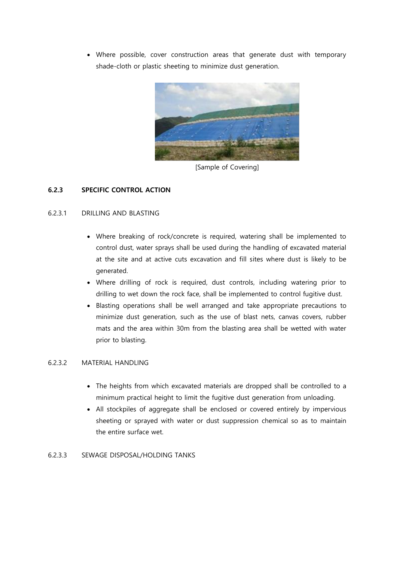Where possible, cover construction areas that generate dust with temporary shade-cloth or plastic sheeting to minimize dust generation.



[Sample of Covering]

# <span id="page-18-0"></span>6.2.3 SPECIFIC CONTROL ACTION

### 6.2.3.1 DRILLING AND BLASTING

- Where breaking of rock/concrete is required, watering shall be implemented to control dust, water sprays shall be used during the handling of excavated material at the site and at active cuts excavation and fill sites where dust is likely to be generated.
- Where drilling of rock is required, dust controls, including watering prior to drilling to wet down the rock face, shall be implemented to control fugitive dust.
- Blasting operations shall be well arranged and take appropriate precautions to minimize dust generation, such as the use of blast nets, canvas covers, rubber mats and the area within 30m from the blasting area shall be wetted with water prior to blasting.

#### 6.2.3.2 MATERIAL HANDLING

- The heights from which excavated materials are dropped shall be controlled to a minimum practical height to limit the fugitive dust generation from unloading.
- All stockpiles of aggregate shall be enclosed or covered entirely by impervious sheeting or sprayed with water or dust suppression chemical so as to maintain the entire surface wet.

#### 6.2.3.3 SEWAGE DISPOSAL/HOLDING TANKS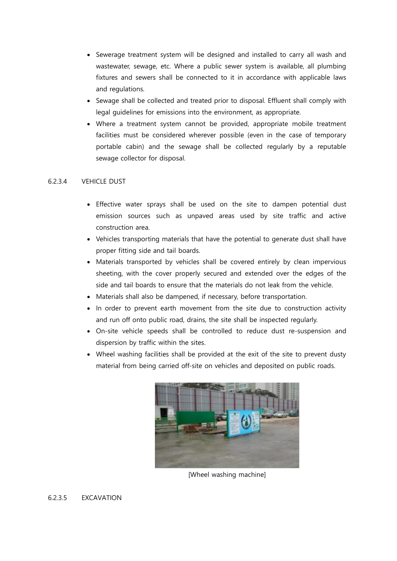- Sewerage treatment system will be designed and installed to carry all wash and wastewater, sewage, etc. Where a public sewer system is available, all plumbing fixtures and sewers shall be connected to it in accordance with applicable laws and regulations.
- Sewage shall be collected and treated prior to disposal. Effluent shall comply with legal guidelines for emissions into the environment, as appropriate.
- Where a treatment system cannot be provided, appropriate mobile treatment facilities must be considered wherever possible (even in the case of temporary portable cabin) and the sewage shall be collected regularly by a reputable sewage collector for disposal.

#### 6.2.3.4 VEHICLE DUST

- Effective water sprays shall be used on the site to dampen potential dust emission sources such as unpaved areas used by site traffic and active construction area.
- Vehicles transporting materials that have the potential to generate dust shall have proper fitting side and tail boards.
- Materials transported by vehicles shall be covered entirely by clean impervious sheeting, with the cover properly secured and extended over the edges of the side and tail boards to ensure that the materials do not leak from the vehicle.
- Materials shall also be dampened, if necessary, before transportation.
- In order to prevent earth movement from the site due to construction activity and run off onto public road, drains, the site shall be inspected regularly.
- On-site vehicle speeds shall be controlled to reduce dust re-suspension and dispersion by traffic within the sites.
- Wheel washing facilities shall be provided at the exit of the site to prevent dusty material from being carried off-site on vehicles and deposited on public roads.



[Wheel washing machine]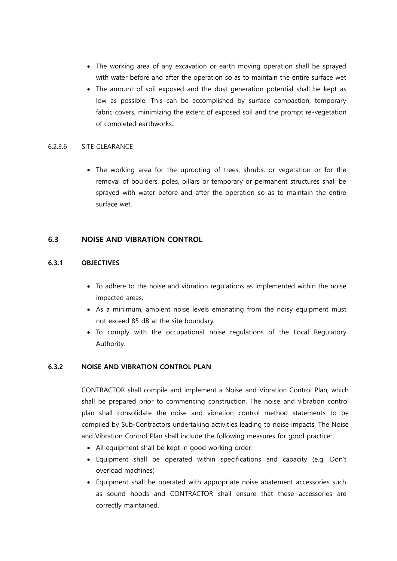- The working area of any excavation or earth moving operation shall be sprayed with water before and after the operation so as to maintain the entire surface wet
- The amount of soil exposed and the dust generation potential shall be kept as low as possible. This can be accomplished by surface compaction, temporary fabric covers, minimizing the extent of exposed soil and the prompt re-vegetation of completed earthworks.

#### 6.2.3.6 SITE CLEARANCE

• The working area for the uprooting of trees, shrubs, or vegetation or for the removal of boulders, poles, pillars or temporary or permanent structures shall be sprayed with water before and after the operation so as to maintain the entire surface wet.

### <span id="page-20-0"></span>6.3 NOISE AND VIBRATION CONTROL

#### <span id="page-20-1"></span>6.3.1 OBJECTIVES

- To adhere to the noise and vibration regulations as implemented within the noise impacted areas.
- As a minimum, ambient noise levels emanating from the noisy equipment must not exceed 85 dB at the site boundary.
- To comply with the occupational noise regulations of the Local Regulatory Authority.

### <span id="page-20-2"></span>6.3.2 NOISE AND VIBRATION CONTROL PLAN

CONTRACTOR shall compile and implement a Noise and Vibration Control Plan, which shall be prepared prior to commencing construction. The noise and vibration control plan shall consolidate the noise and vibration control method statements to be compiled by Sub-Contractors undertaking activities leading to noise impacts. The Noise and Vibration Control Plan shall include the following measures for good practice:

- All equipment shall be kept in good working order.
- Equipment shall be operated within specifications and capacity (e.g. Don't overload machines)
- Equipment shall be operated with appropriate noise abatement accessories such as sound hoods and CONTRACTOR shall ensure that these accessories are correctly maintained.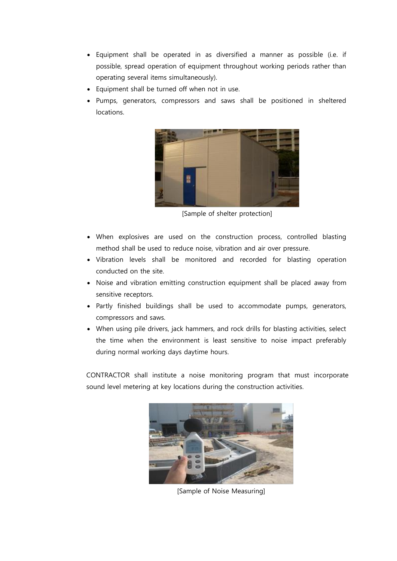- Equipment shall be operated in as diversified a manner as possible (i.e. if possible, spread operation of equipment throughout working periods rather than operating several items simultaneously).
- Equipment shall be turned off when not in use.
- Pumps, generators, compressors and saws shall be positioned in sheltered locations.



[Sample of shelter protection]

- When explosives are used on the construction process, controlled blasting method shall be used to reduce noise, vibration and air over pressure.
- Vibration levels shall be monitored and recorded for blasting operation conducted on the site.
- Noise and vibration emitting construction equipment shall be placed away from sensitive receptors.
- Partly finished buildings shall be used to accommodate pumps, generators, compressors and saws.
- When using pile drivers, jack hammers, and rock drills for blasting activities, select the time when the environment is least sensitive to noise impact preferably during normal working days daytime hours.

CONTRACTOR shall institute a noise monitoring program that must incorporate sound level metering at key locations during the construction activities.



[Sample of Noise Measuring]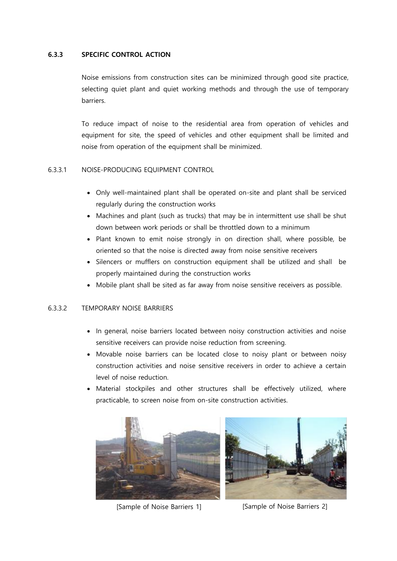#### <span id="page-22-0"></span>6.3.3 SPECIFIC CONTROL ACTION

Noise emissions from construction sites can be minimized through good site practice, selecting quiet plant and quiet working methods and through the use of temporary barriers.

To reduce impact of noise to the residential area from operation of vehicles and equipment for site, the speed of vehicles and other equipment shall be limited and noise from operation of the equipment shall be minimized.

#### 6.3.3.1 NOISE-PRODUCING EQUIPMENT CONTROL

- Only well-maintained plant shall be operated on-site and plant shall be serviced regularly during the construction works
- Machines and plant (such as trucks) that may be in intermittent use shall be shut down between work periods or shall be throttled down to a minimum
- Plant known to emit noise strongly in on direction shall, where possible, be oriented so that the noise is directed away from noise sensitive receivers
- Silencers or mufflers on construction equipment shall be utilized and shall be properly maintained during the construction works
- Mobile plant shall be sited as far away from noise sensitive receivers as possible.

#### 6.3.3.2 TEMPORARY NOISE BARRIERS

- In general, noise barriers located between noisy construction activities and noise sensitive receivers can provide noise reduction from screening.
- Movable noise barriers can be located close to noisy plant or between noisy construction activities and noise sensitive receivers in order to achieve a certain level of noise reduction.
- Material stockpiles and other structures shall be effectively utilized, where practicable, to screen noise from on-site construction activities.



[Sample of Noise Barriers 1] [Sample of Noise Barriers 2]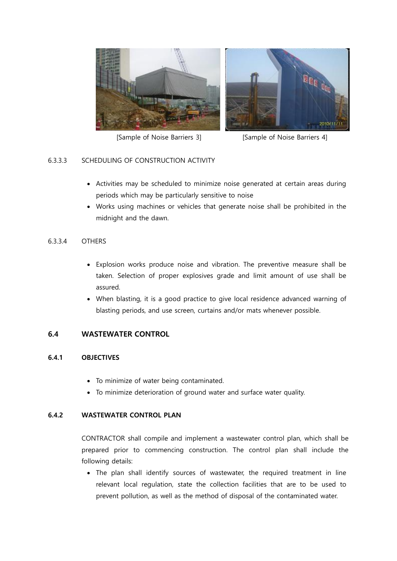

[Sample of Noise Barriers 3] [Sample of Noise Barriers 4]

### 6.3.3.3 SCHEDULING OF CONSTRUCTION ACTIVITY

- Activities may be scheduled to minimize noise generated at certain areas during periods which may be particularly sensitive to noise
- Works using machines or vehicles that generate noise shall be prohibited in the midnight and the dawn.

### 6.3.3.4 OTHERS

- Explosion works produce noise and vibration. The preventive measure shall be taken. Selection of proper explosives grade and limit amount of use shall be assured.
- When blasting, it is a good practice to give local residence advanced warning of blasting periods, and use screen, curtains and/or mats whenever possible.

### <span id="page-23-0"></span>6.4 WASTEWATER CONTROL

#### <span id="page-23-1"></span>6.4.1 OBJECTIVES

- To minimize of water being contaminated.
- To minimize deterioration of ground water and surface water quality.

#### <span id="page-23-2"></span>6.4.2 WASTEWATER CONTROL PLAN

CONTRACTOR shall compile and implement a wastewater control plan, which shall be prepared prior to commencing construction. The control plan shall include the following details:

• The plan shall identify sources of wastewater, the required treatment in line relevant local regulation, state the collection facilities that are to be used to prevent pollution, as well as the method of disposal of the contaminated water.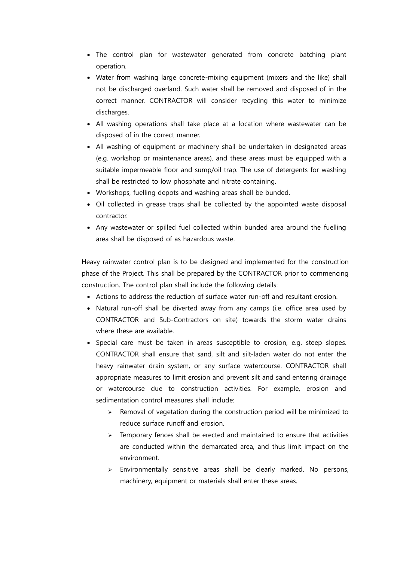- The control plan for wastewater generated from concrete batching plant operation.
- Water from washing large concrete-mixing equipment (mixers and the like) shall not be discharged overland. Such water shall be removed and disposed of in the correct manner. CONTRACTOR will consider recycling this water to minimize discharges.
- All washing operations shall take place at a location where wastewater can be disposed of in the correct manner.
- All washing of equipment or machinery shall be undertaken in designated areas (e.g. workshop or maintenance areas), and these areas must be equipped with a suitable impermeable floor and sump/oil trap. The use of detergents for washing shall be restricted to low phosphate and nitrate containing.
- Workshops, fuelling depots and washing areas shall be bunded.
- Oil collected in grease traps shall be collected by the appointed waste disposal contractor.
- Any wastewater or spilled fuel collected within bunded area around the fuelling area shall be disposed of as hazardous waste.

Heavy rainwater control plan is to be designed and implemented for the construction phase of the Project. This shall be prepared by the CONTRACTOR prior to commencing construction. The control plan shall include the following details:

- Actions to address the reduction of surface water run-off and resultant erosion.
- Natural run-off shall be diverted away from any camps (i.e. office area used by CONTRACTOR and Sub-Contractors on site) towards the storm water drains where these are available.
- Special care must be taken in areas susceptible to erosion, e.g. steep slopes. CONTRACTOR shall ensure that sand, silt and silt-laden water do not enter the heavy rainwater drain system, or any surface watercourse. CONTRACTOR shall appropriate measures to limit erosion and prevent silt and sand entering drainage or watercourse due to construction activities. For example, erosion and sedimentation control measures shall include:
	- $\triangleright$  Removal of vegetation during the construction period will be minimized to reduce surface runoff and erosion.
	- $\triangleright$  Temporary fences shall be erected and maintained to ensure that activities are conducted within the demarcated area, and thus limit impact on the environment.
	- > Environmentally sensitive areas shall be clearly marked. No persons, machinery, equipment or materials shall enter these areas.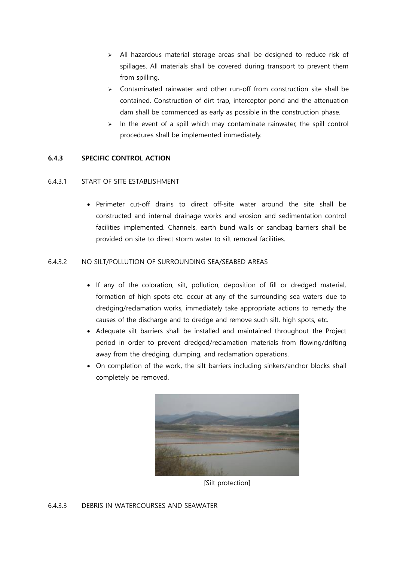- $\triangleright$  All hazardous material storage areas shall be designed to reduce risk of spillages. All materials shall be covered during transport to prevent them from spilling.
- $\geq$  Contaminated rainwater and other run-off from construction site shall be contained. Construction of dirt trap, interceptor pond and the attenuation dam shall be commenced as early as possible in the construction phase.
- $\geq$  In the event of a spill which may contaminate rainwater, the spill control procedures shall be implemented immediately.

### <span id="page-25-0"></span>6.4.3 SPECIFIC CONTROL ACTION

#### 6.4.3.1 START OF SITE ESTABLISHMENT

 Perimeter cut-off drains to direct off-site water around the site shall be constructed and internal drainage works and erosion and sedimentation control facilities implemented. Channels, earth bund walls or sandbag barriers shall be provided on site to direct storm water to silt removal facilities.

#### 6.4.3.2 NO SILT/POLLUTION OF SURROUNDING SEA/SEABED AREAS

- If any of the coloration, silt, pollution, deposition of fill or dredged material, formation of high spots etc. occur at any of the surrounding sea waters due to dredging/reclamation works, immediately take appropriate actions to remedy the causes of the discharge and to dredge and remove such silt, high spots, etc.
- Adequate silt barriers shall be installed and maintained throughout the Project period in order to prevent dredged/reclamation materials from flowing/drifting away from the dredging, dumping, and reclamation operations.
- On completion of the work, the silt barriers including sinkers/anchor blocks shall completely be removed.



[Silt protection]

#### 6.4.3.3 DEBRIS IN WATERCOURSES AND SEAWATER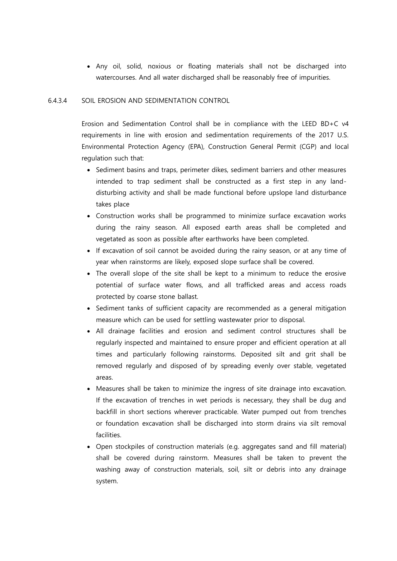Any oil, solid, noxious or floating materials shall not be discharged into watercourses. And all water discharged shall be reasonably free of impurities.

#### 6.4.3.4 SOIL EROSION AND SEDIMENTATION CONTROL

Erosion and Sedimentation Control shall be in compliance with the LEED BD+C v4 requirements in line with erosion and sedimentation requirements of the 2017 U.S. Environmental Protection Agency (EPA), Construction General Permit (CGP) and local regulation such that:

- Sediment basins and traps, perimeter dikes, sediment barriers and other measures intended to trap sediment shall be constructed as a first step in any landdisturbing activity and shall be made functional before upslope land disturbance takes place
- Construction works shall be programmed to minimize surface excavation works during the rainy season. All exposed earth areas shall be completed and vegetated as soon as possible after earthworks have been completed.
- If excavation of soil cannot be avoided during the rainy season, or at any time of year when rainstorms are likely, exposed slope surface shall be covered.
- The overall slope of the site shall be kept to a minimum to reduce the erosive potential of surface water flows, and all trafficked areas and access roads protected by coarse stone ballast.
- Sediment tanks of sufficient capacity are recommended as a general mitigation measure which can be used for settling wastewater prior to disposal.
- All drainage facilities and erosion and sediment control structures shall be regularly inspected and maintained to ensure proper and efficient operation at all times and particularly following rainstorms. Deposited silt and grit shall be removed regularly and disposed of by spreading evenly over stable, vegetated areas.
- Measures shall be taken to minimize the ingress of site drainage into excavation. If the excavation of trenches in wet periods is necessary, they shall be dug and backfill in short sections wherever practicable. Water pumped out from trenches or foundation excavation shall be discharged into storm drains via silt removal facilities.
- Open stockpiles of construction materials (e.g. aggregates sand and fill material) shall be covered during rainstorm. Measures shall be taken to prevent the washing away of construction materials, soil, silt or debris into any drainage system.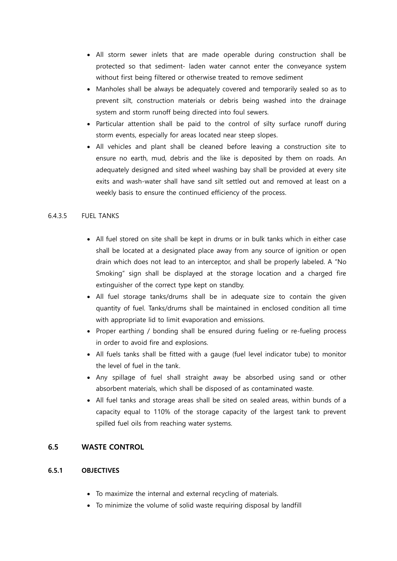- All storm sewer inlets that are made operable during construction shall be protected so that sediment- laden water cannot enter the conveyance system without first being filtered or otherwise treated to remove sediment
- Manholes shall be always be adequately covered and temporarily sealed so as to prevent silt, construction materials or debris being washed into the drainage system and storm runoff being directed into foul sewers.
- Particular attention shall be paid to the control of silty surface runoff during storm events, especially for areas located near steep slopes.
- All vehicles and plant shall be cleaned before leaving a construction site to ensure no earth, mud, debris and the like is deposited by them on roads. An adequately designed and sited wheel washing bay shall be provided at every site exits and wash-water shall have sand silt settled out and removed at least on a weekly basis to ensure the continued efficiency of the process.

# 6.4.3.5 FUEL TANKS

- All fuel stored on site shall be kept in drums or in bulk tanks which in either case shall be located at a designated place away from any source of ignition or open drain which does not lead to an interceptor, and shall be properly labeled. A "No Smoking" sign shall be displayed at the storage location and a charged fire extinguisher of the correct type kept on standby.
- All fuel storage tanks/drums shall be in adequate size to contain the given quantity of fuel. Tanks/drums shall be maintained in enclosed condition all time with appropriate lid to limit evaporation and emissions.
- Proper earthing / bonding shall be ensured during fueling or re-fueling process in order to avoid fire and explosions.
- All fuels tanks shall be fitted with a gauge (fuel level indicator tube) to monitor the level of fuel in the tank.
- Any spillage of fuel shall straight away be absorbed using sand or other absorbent materials, which shall be disposed of as contaminated waste.
- All fuel tanks and storage areas shall be sited on sealed areas, within bunds of a capacity equal to 110% of the storage capacity of the largest tank to prevent spilled fuel oils from reaching water systems.

### <span id="page-27-0"></span>6.5 WASTE CONTROL

# <span id="page-27-1"></span>6.5.1 OBJECTIVES

- To maximize the internal and external recycling of materials.
- To minimize the volume of solid waste requiring disposal by landfill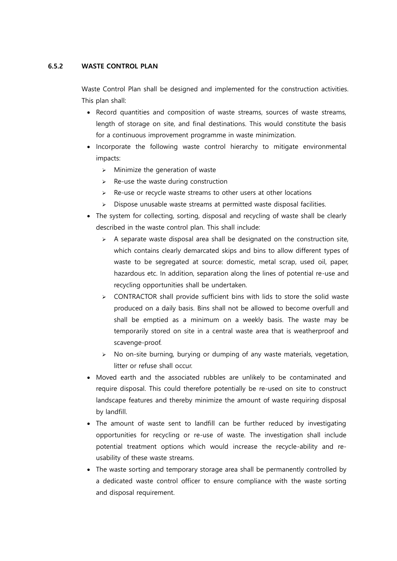#### <span id="page-28-0"></span>6.5.2 WASTE CONTROL PLAN

Waste Control Plan shall be designed and implemented for the construction activities. This plan shall:

- Record quantities and composition of waste streams, sources of waste streams, length of storage on site, and final destinations. This would constitute the basis for a continuous improvement programme in waste minimization.
- Incorporate the following waste control hierarchy to mitigate environmental impacts:
	- $\triangleright$  Minimize the generation of waste
	- $\triangleright$  Re-use the waste during construction
	- $\triangleright$  Re-use or recycle waste streams to other users at other locations
	- $\triangleright$  Dispose unusable waste streams at permitted waste disposal facilities.
- The system for collecting, sorting, disposal and recycling of waste shall be clearly described in the waste control plan. This shall include:
	- $\triangleright$  A separate waste disposal area shall be designated on the construction site, which contains clearly demarcated skips and bins to allow different types of waste to be segregated at source: domestic, metal scrap, used oil, paper, hazardous etc. In addition, separation along the lines of potential re-use and recycling opportunities shall be undertaken.
	- $\triangleright$  CONTRACTOR shall provide sufficient bins with lids to store the solid waste produced on a daily basis. Bins shall not be allowed to become overfull and shall be emptied as a minimum on a weekly basis. The waste may be temporarily stored on site in a central waste area that is weatherproof and scavenge-proof.
	- $\triangleright$  No on-site burning, burying or dumping of any waste materials, vegetation, litter or refuse shall occur.
- Moved earth and the associated rubbles are unlikely to be contaminated and require disposal. This could therefore potentially be re-used on site to construct landscape features and thereby minimize the amount of waste requiring disposal by landfill.
- The amount of waste sent to landfill can be further reduced by investigating opportunities for recycling or re-use of waste. The investigation shall include potential treatment options which would increase the recycle-ability and reusability of these waste streams.
- The waste sorting and temporary storage area shall be permanently controlled by a dedicated waste control officer to ensure compliance with the waste sorting and disposal requirement.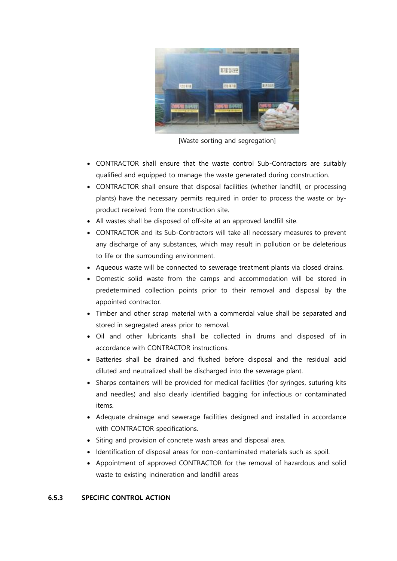

[Waste sorting and segregation]

- CONTRACTOR shall ensure that the waste control Sub-Contractors are suitably qualified and equipped to manage the waste generated during construction.
- CONTRACTOR shall ensure that disposal facilities (whether landfill, or processing plants) have the necessary permits required in order to process the waste or byproduct received from the construction site.
- All wastes shall be disposed of off-site at an approved landfill site.
- CONTRACTOR and its Sub-Contractors will take all necessary measures to prevent any discharge of any substances, which may result in pollution or be deleterious to life or the surrounding environment.
- Aqueous waste will be connected to sewerage treatment plants via closed drains.
- Domestic solid waste from the camps and accommodation will be stored in predetermined collection points prior to their removal and disposal by the appointed contractor.
- Timber and other scrap material with a commercial value shall be separated and stored in segregated areas prior to removal.
- Oil and other lubricants shall be collected in drums and disposed of in accordance with CONTRACTOR instructions.
- Batteries shall be drained and flushed before disposal and the residual acid diluted and neutralized shall be discharged into the sewerage plant.
- Sharps containers will be provided for medical facilities (for syringes, suturing kits and needles) and also clearly identified bagging for infectious or contaminated items.
- Adequate drainage and sewerage facilities designed and installed in accordance with CONTRACTOR specifications.
- Siting and provision of concrete wash areas and disposal area.
- Identification of disposal areas for non-contaminated materials such as spoil.
- Appointment of approved CONTRACTOR for the removal of hazardous and solid waste to existing incineration and landfill areas

#### <span id="page-29-0"></span>6.5.3 SPECIFIC CONTROL ACTION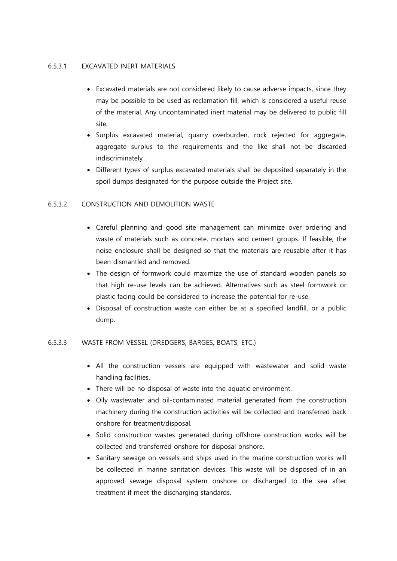#### 6.5.3.1 EXCAVATED INERT MATERIALS

- Excavated materials are not considered likely to cause adverse impacts, since they may be possible to be used as reclamation fill, which is considered a useful reuse of the material. Any uncontaminated inert material may be delivered to public fill site.
- Surplus excavated material, quarry overburden, rock rejected for aggregate, aggregate surplus to the requirements and the like shall not be discarded indiscriminately.
- Different types of surplus excavated materials shall be deposited separately in the spoil dumps designated for the purpose outside the Project site.

### 6.5.3.2 CONSTRUCTION AND DEMOLITION WASTE

- Careful planning and good site management can minimize over ordering and waste of materials such as concrete, mortars and cement groups. If feasible, the noise enclosure shall be designed so that the materials are reusable after it has been dismantled and removed.
- The design of formwork could maximize the use of standard wooden panels so that high re-use levels can be achieved. Alternatives such as steel formwork or plastic facing could be considered to increase the potential for re-use.
- Disposal of construction waste can either be at a specified landfill, or a public dump.

#### 6.5.3.3 WASTE FROM VESSEL (DREDGERS, BARGES, BOATS, ETC.)

- All the construction vessels are equipped with wastewater and solid waste handling facilities.
- There will be no disposal of waste into the aquatic environment.
- Oily wastewater and oil-contaminated material generated from the construction machinery during the construction activities will be collected and transferred back onshore for treatment/disposal.
- Solid construction wastes generated during offshore construction works will be collected and transferred onshore for disposal onshore.
- Sanitary sewage on vessels and ships used in the marine construction works will be collected in marine sanitation devices. This waste will be disposed of in an approved sewage disposal system onshore or discharged to the sea after treatment if meet the discharging standards.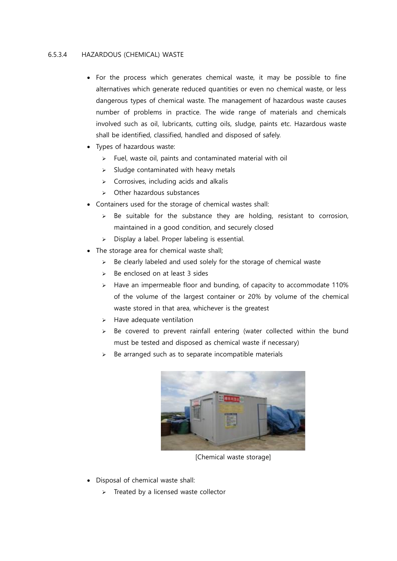#### 6.5.3.4 HAZARDOUS (CHEMICAL) WASTE

- For the process which generates chemical waste, it may be possible to fine alternatives which generate reduced quantities or even no chemical waste, or less dangerous types of chemical waste. The management of hazardous waste causes number of problems in practice. The wide range of materials and chemicals involved such as oil, lubricants, cutting oils, sludge, paints etc. Hazardous waste shall be identified, classified, handled and disposed of safely.
- Types of hazardous waste:
	- $\triangleright$  Fuel, waste oil, paints and contaminated material with oil
	- $\triangleright$  Sludge contaminated with heavy metals
	- $\triangleright$  Corrosives, including acids and alkalis
	- $\triangleright$  Other hazardous substances
- Containers used for the storage of chemical wastes shall:
	- $\geq$  Be suitable for the substance they are holding, resistant to corrosion, maintained in a good condition, and securely closed
	- $\triangleright$  Display a label. Proper labeling is essential.
- The storage area for chemical waste shall;
	- $\geq$  Be clearly labeled and used solely for the storage of chemical waste
	- $\triangleright$  Be enclosed on at least 3 sides
	- $\triangleright$  Have an impermeable floor and bunding, of capacity to accommodate 110% of the volume of the largest container or 20% by volume of the chemical waste stored in that area, whichever is the greatest
	- $\triangleright$  Have adequate ventilation
	- $\triangleright$  Be covered to prevent rainfall entering (water collected within the bund must be tested and disposed as chemical waste if necessary)
	- $\triangleright$  Be arranged such as to separate incompatible materials



[Chemical waste storage]

- Disposal of chemical waste shall:
	- $\triangleright$  Treated by a licensed waste collector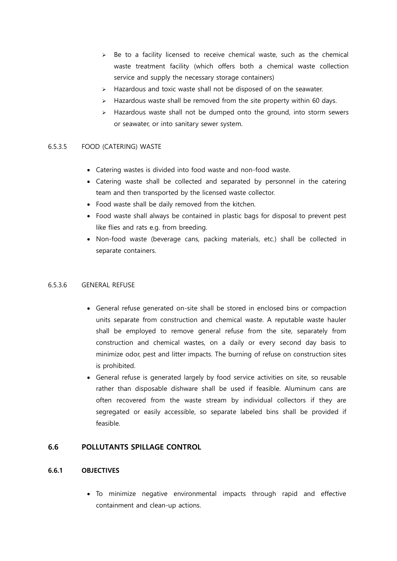- $\triangleright$  Be to a facility licensed to receive chemical waste, such as the chemical waste treatment facility (which offers both a chemical waste collection service and supply the necessary storage containers)
- $\triangleright$  Hazardous and toxic waste shall not be disposed of on the seawater.
- $\geq$  Hazardous waste shall be removed from the site property within 60 days.
- $\triangleright$  Hazardous waste shall not be dumped onto the ground, into storm sewers or seawater, or into sanitary sewer system.

### 6.5.3.5 FOOD (CATERING) WASTE

- Catering wastes is divided into food waste and non-food waste.
- Catering waste shall be collected and separated by personnel in the catering team and then transported by the licensed waste collector.
- Food waste shall be daily removed from the kitchen.
- Food waste shall always be contained in plastic bags for disposal to prevent pest like flies and rats e.g. from breeding.
- Non-food waste (beverage cans, packing materials, etc.) shall be collected in separate containers.

#### 6.5.3.6 GENERAL REFUSE

- General refuse generated on-site shall be stored in enclosed bins or compaction units separate from construction and chemical waste. A reputable waste hauler shall be employed to remove general refuse from the site, separately from construction and chemical wastes, on a daily or every second day basis to minimize odor, pest and litter impacts. The burning of refuse on construction sites is prohibited.
- General refuse is generated largely by food service activities on site, so reusable rather than disposable dishware shall be used if feasible. Aluminum cans are often recovered from the waste stream by individual collectors if they are segregated or easily accessible, so separate labeled bins shall be provided if feasible.

### <span id="page-32-0"></span>6.6 POLLUTANTS SPILLAGE CONTROL

# <span id="page-32-1"></span>6.6.1 OBJECTIVES

 To minimize negative environmental impacts through rapid and effective containment and clean-up actions.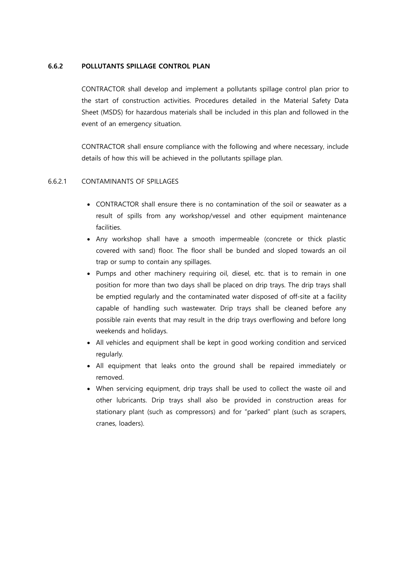#### <span id="page-33-0"></span>6.6.2 POLLUTANTS SPILLAGE CONTROL PLAN

CONTRACTOR shall develop and implement a pollutants spillage control plan prior to the start of construction activities. Procedures detailed in the Material Safety Data Sheet (MSDS) for hazardous materials shall be included in this plan and followed in the event of an emergency situation.

CONTRACTOR shall ensure compliance with the following and where necessary, include details of how this will be achieved in the pollutants spillage plan.

#### 6.6.2.1 CONTAMINANTS OF SPILLAGES

- CONTRACTOR shall ensure there is no contamination of the soil or seawater as a result of spills from any workshop/vessel and other equipment maintenance facilities.
- Any workshop shall have a smooth impermeable (concrete or thick plastic covered with sand) floor. The floor shall be bunded and sloped towards an oil trap or sump to contain any spillages.
- Pumps and other machinery requiring oil, diesel, etc. that is to remain in one position for more than two days shall be placed on drip trays. The drip trays shall be emptied regularly and the contaminated water disposed of off-site at a facility capable of handling such wastewater. Drip trays shall be cleaned before any possible rain events that may result in the drip trays overflowing and before long weekends and holidays.
- All vehicles and equipment shall be kept in good working condition and serviced regularly.
- All equipment that leaks onto the ground shall be repaired immediately or removed.
- When servicing equipment, drip trays shall be used to collect the waste oil and other lubricants. Drip trays shall also be provided in construction areas for stationary plant (such as compressors) and for "parked" plant (such as scrapers, cranes, loaders).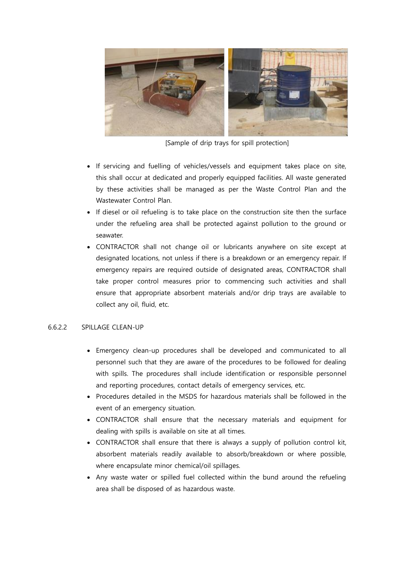

[Sample of drip trays for spill protection]

- If servicing and fuelling of vehicles/vessels and equipment takes place on site, this shall occur at dedicated and properly equipped facilities. All waste generated by these activities shall be managed as per the Waste Control Plan and the Wastewater Control Plan.
- If diesel or oil refueling is to take place on the construction site then the surface under the refueling area shall be protected against pollution to the ground or seawater.
- CONTRACTOR shall not change oil or lubricants anywhere on site except at designated locations, not unless if there is a breakdown or an emergency repair. If emergency repairs are required outside of designated areas, CONTRACTOR shall take proper control measures prior to commencing such activities and shall ensure that appropriate absorbent materials and/or drip trays are available to collect any oil, fluid, etc.

#### 6.6.2.2 SPILLAGE CLEAN-UP

- Emergency clean-up procedures shall be developed and communicated to all personnel such that they are aware of the procedures to be followed for dealing with spills. The procedures shall include identification or responsible personnel and reporting procedures, contact details of emergency services, etc.
- Procedures detailed in the MSDS for hazardous materials shall be followed in the event of an emergency situation.
- CONTRACTOR shall ensure that the necessary materials and equipment for dealing with spills is available on site at all times.
- CONTRACTOR shall ensure that there is always a supply of pollution control kit, absorbent materials readily available to absorb/breakdown or where possible, where encapsulate minor chemical/oil spillages.
- Any waste water or spilled fuel collected within the bund around the refueling area shall be disposed of as hazardous waste.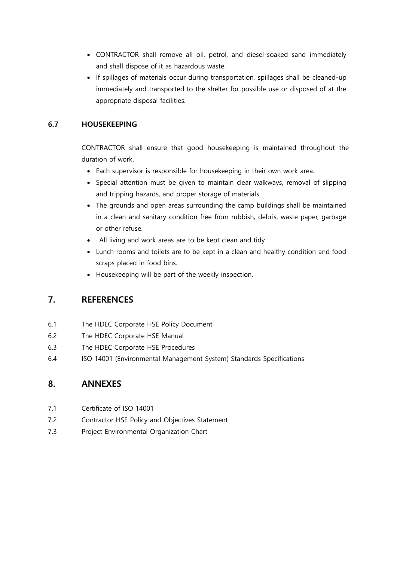- CONTRACTOR shall remove all oil, petrol, and diesel-soaked sand immediately and shall dispose of it as hazardous waste.
- If spillages of materials occur during transportation, spillages shall be cleaned-up immediately and transported to the shelter for possible use or disposed of at the appropriate disposal facilities.

# <span id="page-35-0"></span>6.7 HOUSEKEEPING

CONTRACTOR shall ensure that good housekeeping is maintained throughout the duration of work.

- Each supervisor is responsible for housekeeping in their own work area.
- Special attention must be given to maintain clear walkways, removal of slipping and tripping hazards, and proper storage of materials.
- The grounds and open areas surrounding the camp buildings shall be maintained in a clean and sanitary condition free from rubbish, debris, waste paper, garbage or other refuse.
- All living and work areas are to be kept clean and tidy.
- Lunch rooms and toilets are to be kept in a clean and healthy condition and food scraps placed in food bins.
- Housekeeping will be part of the weekly inspection.

# <span id="page-35-1"></span>7. REFERENCES

- 6.1 The HDEC Corporate HSE Policy Document
- 6.2 The HDEC Corporate HSE Manual
- 6.3 The HDEC Corporate HSE Procedures
- 6.4 ISO 14001 (Environmental Management System) Standards Specifications

# <span id="page-35-2"></span>8. ANNEXES

- 7.1 Certificate of ISO 14001
- 7.2 Contractor HSE Policy and Objectives Statement
- 7.3 Project Environmental Organization Chart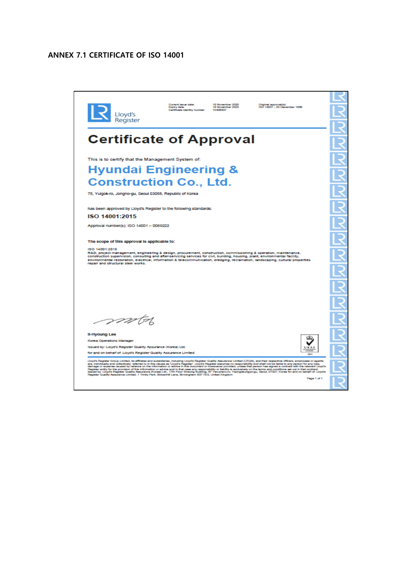# <span id="page-36-0"></span>ANNEX 7.1 CERTIFICATE OF ISO 14001



Page 1 of 1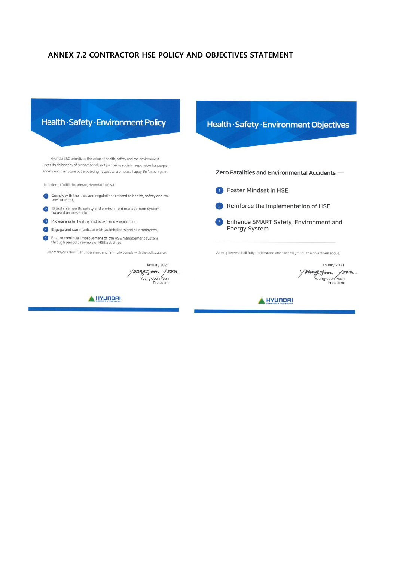# <span id="page-37-0"></span>ANNEX 7.2 CONTRACTOR HSE POLICY AND OBJECTIVES STATEMENT